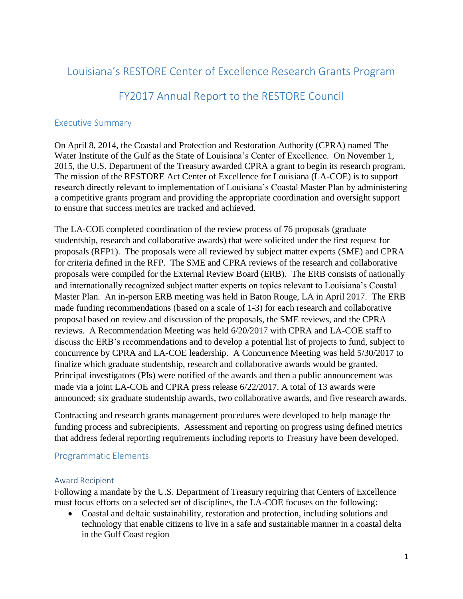# Louisiana's RESTORE Center of Excellence Research Grants Program

# FY2017 Annual Report to the RESTORE Council

## Executive Summary

On April 8, 2014, the Coastal and Protection and Restoration Authority (CPRA) named The Water Institute of the Gulf as the State of Louisiana's Center of Excellence. On November 1, 2015, the U.S. Department of the Treasury awarded CPRA a grant to begin its research program. The mission of the RESTORE Act Center of Excellence for Louisiana (LA-COE) is to support research directly relevant to implementation of Louisiana's Coastal Master Plan by administering a competitive grants program and providing the appropriate coordination and oversight support to ensure that success metrics are tracked and achieved.

The LA-COE completed coordination of the review process of 76 proposals (graduate studentship, research and collaborative awards) that were solicited under the first request for proposals (RFP1). The proposals were all reviewed by subject matter experts (SME) and CPRA for criteria defined in the RFP. The SME and CPRA reviews of the research and collaborative proposals were compiled for the External Review Board (ERB). The ERB consists of nationally and internationally recognized subject matter experts on topics relevant to Louisiana's Coastal Master Plan. An in-person ERB meeting was held in Baton Rouge, LA in April 2017. The ERB made funding recommendations (based on a scale of 1-3) for each research and collaborative proposal based on review and discussion of the proposals, the SME reviews, and the CPRA reviews. A Recommendation Meeting was held 6/20/2017 with CPRA and LA-COE staff to discuss the ERB's recommendations and to develop a potential list of projects to fund, subject to concurrence by CPRA and LA-COE leadership. A Concurrence Meeting was held 5/30/2017 to finalize which graduate studentship, research and collaborative awards would be granted. Principal investigators (PIs) were notified of the awards and then a public announcement was made via a joint LA-COE and CPRA press release 6/22/2017. A total of 13 awards were announced; six graduate studentship awards, two collaborative awards, and five research awards.

Contracting and research grants management procedures were developed to help manage the funding process and subrecipients. Assessment and reporting on progress using defined metrics that address federal reporting requirements including reports to Treasury have been developed.

## Programmatic Elements

### Award Recipient

Following a mandate by the U.S. Department of Treasury requiring that Centers of Excellence must focus efforts on a selected set of disciplines, the LA-COE focuses on the following:

• Coastal and deltaic sustainability, restoration and protection, including solutions and technology that enable citizens to live in a safe and sustainable manner in a coastal delta in the Gulf Coast region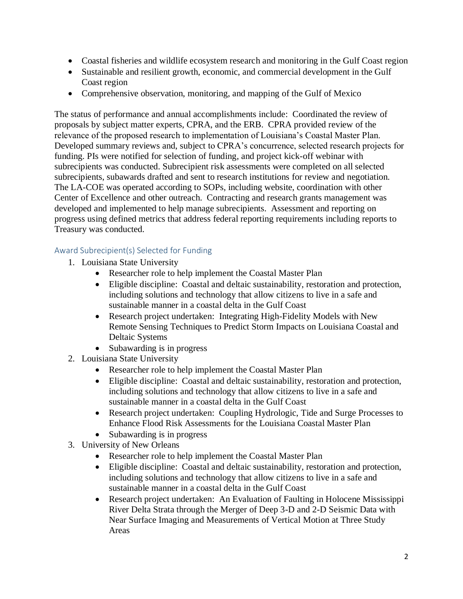- Coastal fisheries and wildlife ecosystem research and monitoring in the Gulf Coast region
- Sustainable and resilient growth, economic, and commercial development in the Gulf Coast region
- Comprehensive observation, monitoring, and mapping of the Gulf of Mexico

The status of performance and annual accomplishments include: Coordinated the review of proposals by subject matter experts, CPRA, and the ERB. CPRA provided review of the relevance of the proposed research to implementation of Louisiana's Coastal Master Plan. Developed summary reviews and, subject to CPRA's concurrence, selected research projects for funding. PIs were notified for selection of funding, and project kick-off webinar with subrecipients was conducted. Subrecipient risk assessments were completed on all selected subrecipients, subawards drafted and sent to research institutions for review and negotiation. The LA-COE was operated according to SOPs, including website, coordination with other Center of Excellence and other outreach. Contracting and research grants management was developed and implemented to help manage subrecipients. Assessment and reporting on progress using defined metrics that address federal reporting requirements including reports to Treasury was conducted.

### Award Subrecipient(s) Selected for Funding

- 1. Louisiana State University
	- Researcher role to help implement the Coastal Master Plan
	- Eligible discipline: Coastal and deltaic sustainability, restoration and protection, including solutions and technology that allow citizens to live in a safe and sustainable manner in a coastal delta in the Gulf Coast
	- Research project undertaken: Integrating High-Fidelity Models with New Remote Sensing Techniques to Predict Storm Impacts on Louisiana Coastal and Deltaic Systems
	- Subawarding is in progress
- 2. Louisiana State University
	- Researcher role to help implement the Coastal Master Plan
	- Eligible discipline: Coastal and deltaic sustainability, restoration and protection, including solutions and technology that allow citizens to live in a safe and sustainable manner in a coastal delta in the Gulf Coast
	- Research project undertaken: Coupling Hydrologic, Tide and Surge Processes to Enhance Flood Risk Assessments for the Louisiana Coastal Master Plan
	- Subawarding is in progress
- 3. University of New Orleans
	- Researcher role to help implement the Coastal Master Plan
	- Eligible discipline: Coastal and deltaic sustainability, restoration and protection, including solutions and technology that allow citizens to live in a safe and sustainable manner in a coastal delta in the Gulf Coast
	- Research project undertaken: An Evaluation of Faulting in Holocene Mississippi River Delta Strata through the Merger of Deep 3-D and 2-D Seismic Data with Near Surface Imaging and Measurements of Vertical Motion at Three Study Areas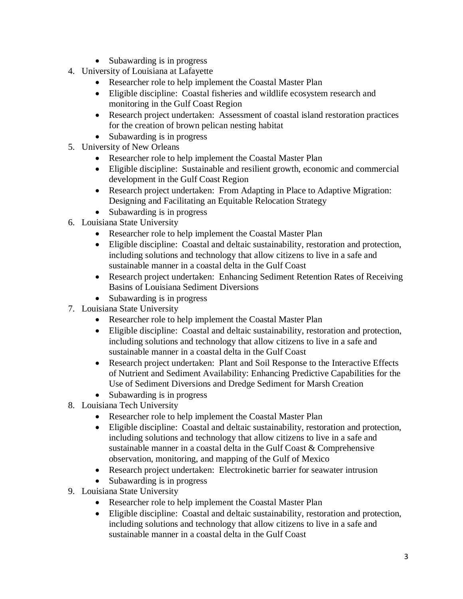- Subawarding is in progress
- 4. University of Louisiana at Lafayette
	- Researcher role to help implement the Coastal Master Plan
	- Eligible discipline: Coastal fisheries and wildlife ecosystem research and monitoring in the Gulf Coast Region
	- Research project undertaken: Assessment of coastal island restoration practices for the creation of brown pelican nesting habitat
	- Subawarding is in progress
- 5. University of New Orleans
	- Researcher role to help implement the Coastal Master Plan
	- Eligible discipline: Sustainable and resilient growth, economic and commercial development in the Gulf Coast Region
	- Research project undertaken: From Adapting in Place to Adaptive Migration: Designing and Facilitating an Equitable Relocation Strategy
	- Subawarding is in progress
- 6. Louisiana State University
	- Researcher role to help implement the Coastal Master Plan
	- Eligible discipline: Coastal and deltaic sustainability, restoration and protection, including solutions and technology that allow citizens to live in a safe and sustainable manner in a coastal delta in the Gulf Coast
	- Research project undertaken: Enhancing Sediment Retention Rates of Receiving Basins of Louisiana Sediment Diversions
	- Subawarding is in progress
- 7. Louisiana State University
	- Researcher role to help implement the Coastal Master Plan
	- Eligible discipline: Coastal and deltaic sustainability, restoration and protection, including solutions and technology that allow citizens to live in a safe and sustainable manner in a coastal delta in the Gulf Coast
	- Research project undertaken: Plant and Soil Response to the Interactive Effects of Nutrient and Sediment Availability: Enhancing Predictive Capabilities for the Use of Sediment Diversions and Dredge Sediment for Marsh Creation
	- Subawarding is in progress
- 8. Louisiana Tech University
	- Researcher role to help implement the Coastal Master Plan
	- Eligible discipline: Coastal and deltaic sustainability, restoration and protection, including solutions and technology that allow citizens to live in a safe and sustainable manner in a coastal delta in the Gulf Coast & Comprehensive observation, monitoring, and mapping of the Gulf of Mexico
	- Research project undertaken: Electrokinetic barrier for seawater intrusion
	- Subawarding is in progress
- 9. Louisiana State University
	- Researcher role to help implement the Coastal Master Plan
	- Eligible discipline: Coastal and deltaic sustainability, restoration and protection, including solutions and technology that allow citizens to live in a safe and sustainable manner in a coastal delta in the Gulf Coast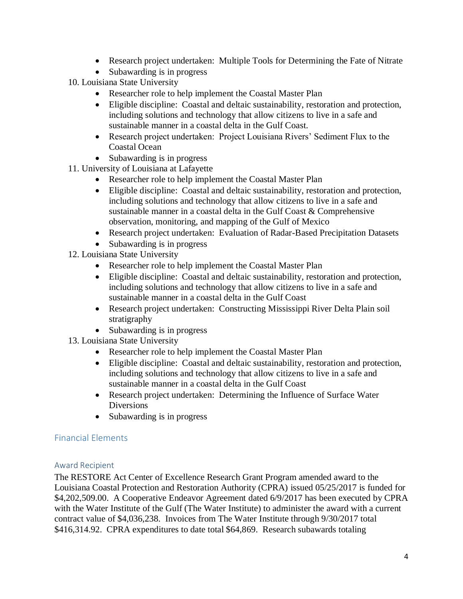- Research project undertaken: Multiple Tools for Determining the Fate of Nitrate
- Subawarding is in progress
- 10. Louisiana State University
	- Researcher role to help implement the Coastal Master Plan
	- Eligible discipline: Coastal and deltaic sustainability, restoration and protection, including solutions and technology that allow citizens to live in a safe and sustainable manner in a coastal delta in the Gulf Coast.
	- Research project undertaken: Project Louisiana Rivers' Sediment Flux to the Coastal Ocean
	- Subawarding is in progress
- 11. University of Louisiana at Lafayette
	- Researcher role to help implement the Coastal Master Plan
	- Eligible discipline: Coastal and deltaic sustainability, restoration and protection, including solutions and technology that allow citizens to live in a safe and sustainable manner in a coastal delta in the Gulf Coast & Comprehensive observation, monitoring, and mapping of the Gulf of Mexico
	- Research project undertaken: Evaluation of Radar-Based Precipitation Datasets
	- Subawarding is in progress
- 12. Louisiana State University
	- Researcher role to help implement the Coastal Master Plan
	- Eligible discipline: Coastal and deltaic sustainability, restoration and protection, including solutions and technology that allow citizens to live in a safe and sustainable manner in a coastal delta in the Gulf Coast
	- Research project undertaken: Constructing Mississippi River Delta Plain soil stratigraphy
	- Subawarding is in progress
- 13. Louisiana State University
	- Researcher role to help implement the Coastal Master Plan
	- Eligible discipline: Coastal and deltaic sustainability, restoration and protection, including solutions and technology that allow citizens to live in a safe and sustainable manner in a coastal delta in the Gulf Coast
	- Research project undertaken: Determining the Influence of Surface Water Diversions
	- Subawarding is in progress

### Financial Elements

#### Award Recipient

The RESTORE Act Center of Excellence Research Grant Program amended award to the Louisiana Coastal Protection and Restoration Authority (CPRA) issued 05/25/2017 is funded for \$4,202,509.00. A Cooperative Endeavor Agreement dated 6/9/2017 has been executed by CPRA with the Water Institute of the Gulf (The Water Institute) to administer the award with a current contract value of \$4,036,238. Invoices from The Water Institute through 9/30/2017 total \$416,314.92. CPRA expenditures to date total \$64,869. Research subawards totaling